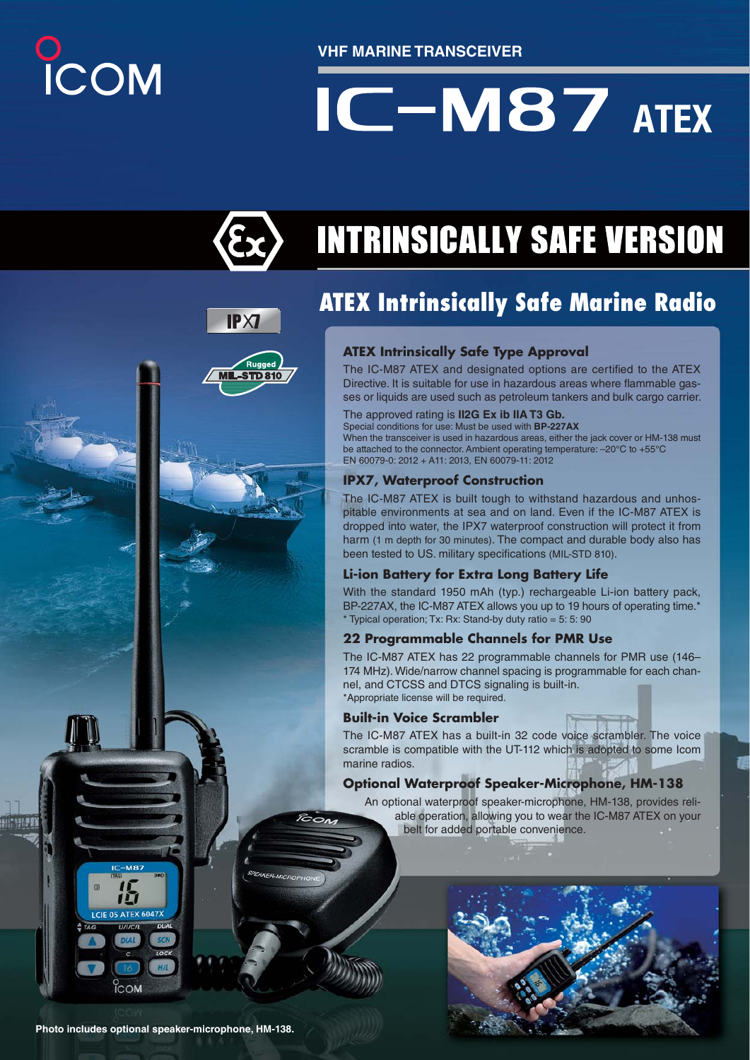# O<br>ICOM

**VHF MARINE TRANSCEIVER**

# $IC-M87$  ATEX



Rugger **L-STD810** 

## **INTRINSICALLY SAFE VERSION**

## **ATEX Intrinsically Safe Marine Radio**

The IC-M87 ATEX and designated options are certified to the ATEX Directive. It is suitable for use in hazardous areas where flammable gasses or liquids are used such as petroleum tankers and bulk cargo carrier.

### The approved rating is **II2G Ex ib IIA T3 Gb.**

Special conditions for use: Must be used with **BP-227AX**

When the transceiver is used in hazardous areas, either the jack cover or HM-138 must be attached to the connector. Ambient operating temperature: –20°C to +55°C EN 60079-0: 2012 + A11: 2013, EN 60079-11: 2012

IPS<sub>7</sub>, Waterproof Construction<br>The IC-M87 ATEX is built tough to withstand hazardous and unhospitable environments at sea and on land. Even if the IC-M87 ATEX is dropped into water, the IPX7 waterproof construction will protect it from harm (1 m depth for 30 minutes). The compact and durable body also has been tested to US. military specifications (MIL-STD 810).

**Li-ion Battery for Extra Long Battery Life** With the standard 1950 mAh (typ.) rechargeable Li-ion battery pack, BP-227AX, the IC-M87 ATEX allows you up to 19 hours of operating time.\* \* Typical operation; Tx: Rx: Stand-by duty ratio = 5: 5: 90

**22 Programmable Channels for PMR Use** The IC-M87 ATEX has 22 programmable channels for PMR use (146– 174 MHz). Wide/narrow channel spacing is programmable for each channel, and CTCSS and DTCS signaling is built-in. \* Appropriate license will be required.

### **Built-in Voice Scrambler**

 $\overline{\kappa}_{\text{on}}$ 

**EAKER-MICROPH** 

**Built-in Voice Scrambler** The IC-M87 ATEX has a built-in 32 code voice scrambler. The voice scramble is compatible with the UT-112 which is adopted to some Icom marine radios.

**Optional Waterproof Speaker-Microphone, HM-138** An optional waterproof speaker-microphone, HM-138, provides reliable operation, allowing you to wear the IC-M87 ATEX on your belt for added portable convenience.



门 LCIE 05 ATEX 6047X

COM